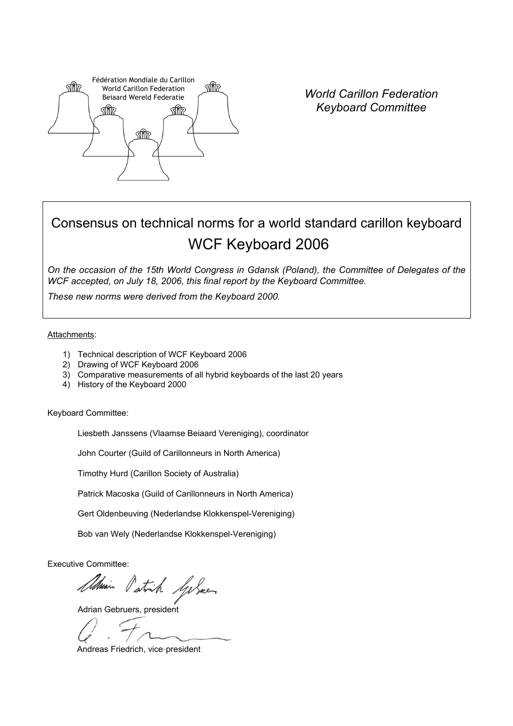

*World Carillon Federation Keyboard Committee* 

# Consensus on technical norms for a world standard carillon keyboard WCF Keyboard 2006

*On the occasion of the 15th World Congress in Gdansk (Poland), the Committee of Delegates of the WCF accepted, on July 18, 2006, this final report by the Keyboard Committee.* 

*These new norms were derived from the Keyboard 2000.* 

Attachments:

- 1) Technical description of WCF Keyboard 2006
- 2) Drawing of WCF Keyboard 2006
- 3) Comparative measurements of all hybrid keyboards of the last 20 years
- 4) History of the Keyboard 2000

Keyboard Committee:

Liesbeth Janssens (Vlaamse Beiaard Vereniging), coordinator

John Courter (Guild of Carillonneurs in North America)

Timothy Hurd (Carillon Society of Australia)

Patrick Macoska (Guild of Carillonneurs in North America)

Gert Oldenbeuving (Nederlandse Klokkenspel-Vereniging)

Bob van Wely (Nederlandse Klokkenspel-Vereniging)

Executive Committee:

Adrian Patrick Sylver

Andreas Friedrich, vice-president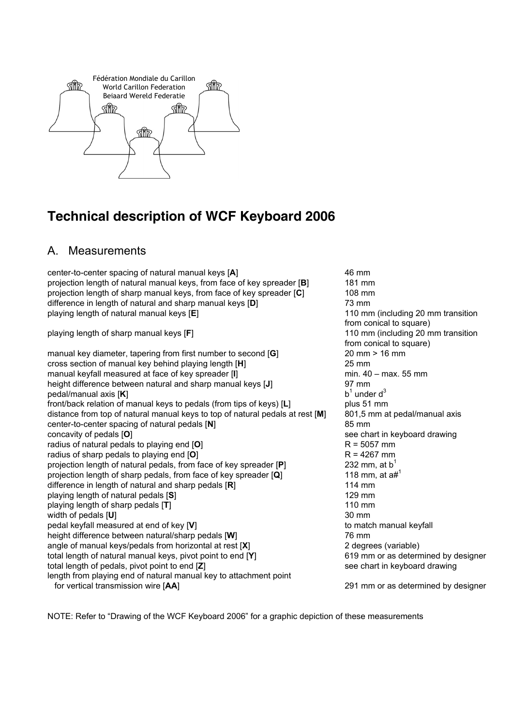

## **Technical description of WCF Keyboard 2006**

## A. Measurements

center-to-center spacing of natural manual keys [**A**] 46 mm projection length of natural manual keys, from face of key spreader [**B**] 181 mm projection length of sharp manual keys, from face of key spreader [**C**] 108 mm difference in length of natural and sharp manual keys [**D**] 73 mm playing length of natural manual keys [**E**] 110 mm (including 20 mm transition playing length of sharp manual keys [**F**] 110 mm (including 20 mm transition

manual key diameter, tapering from first number to second [**G**] 20 mm > 16 mm cross section of manual key behind playing length [**H**] 25 mm manual keyfall measured at face of key spreader [**I**] manual keyfall measured at face of key spreader [**I**] height difference between natural and sharp manual keys [**J**] 97 mm pedal/manual axis [**K**] b1 front/back relation of manual keys to pedals (from tips of keys) [**L**] plus 51 mm distance from top of natural manual keys to top of natural pedals at rest [**M**] 801,5 mm at pedal/manual axis center-to-center spacing of natural pedals [**N**] 85 mm concavity of pedals [O] **see chart in keyboard drawing** see chart in keyboard drawing radius of natural pedals to playing end [O] R = 5057 mm radius of sharp pedals to playing end [O] R = 4267 mm projection length of natural pedals, from face of key spreader [**P**] 232 mm, at b<sup>1</sup> projection length of sharp pedals, from face of key spreader [**Q**] 118 mm, at a#<sup>1</sup> difference in length of natural and sharp pedals [R] 114 mm playing length of natural pedals [**S**] 129 mm playing length of sharp pedals [**T**] 110 mm width of pedals [U] 30 mm pedal keyfall measured at end of key [**V**] to match manual keyfall height difference between natural/sharp pedals [**W**] 76 mm angle of manual keys/pedals from horizontal at rest [**X**] 2 degrees (variable) total length of natural manual keys, pivot point to end [**Y**] 619 mm or as determined by designer total length of pedals, pivot point to end [**Z**] see chart in keyboard drawing length from playing end of natural manual key to attachment point for vertical transmission wire [**AA**] 291 mm or as determined by designer

from conical to square) from conical to square)  $b<sup>1</sup>$  under  $d<sup>3</sup>$ 

NOTE: Refer to "Drawing of the WCF Keyboard 2006" for a graphic depiction of these measurements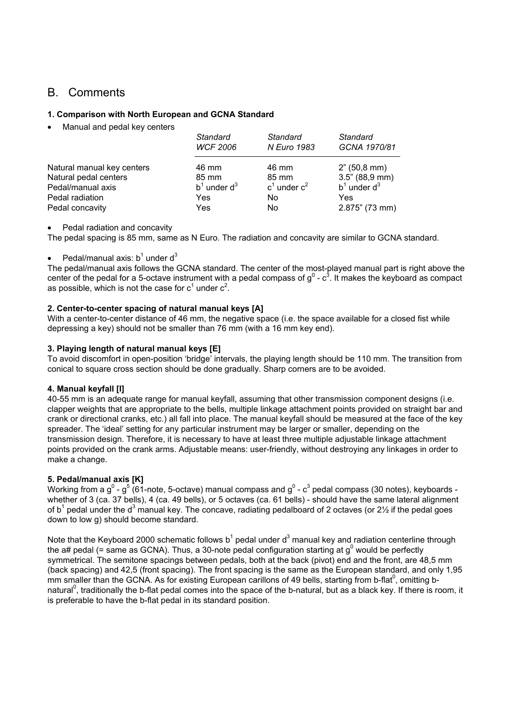## B. Comments

#### **1. Comparison with North European and GCNA Standard**

• Manual and pedal key centers

|                            | Standard          | Standard        | Standard          |
|----------------------------|-------------------|-----------------|-------------------|
|                            | <b>WCF 2006</b>   | N Euro 1983     | GCNA 1970/81      |
| Natural manual key centers | 46 mm             | 46 mm           | 2" (50,8 mm)      |
| Natural pedal centers      | 85 mm             | 85 mm           | 3.5" (88.9 mm)    |
| Pedal/manual axis          | $b^1$ under $d^3$ | $c1$ under $c2$ | $b^1$ under $d^3$ |
| Pedal radiation            | Yes               | No.             | Yes               |
| Pedal concavity            | Yes               | No              | 2.875" (73 mm)    |

#### • Pedal radiation and concavity

The pedal spacing is 85 mm, same as N Euro. The radiation and concavity are similar to GCNA standard.

#### • Pedal/manual axis:  $b^1$  under d<sup>3</sup>

The pedal/manual axis follows the GCNA standard. The center of the most-played manual part is right above the center of the pedal for a 5-octave instrument with a pedal compass of  $g^0$  -  $c^3$ . It makes the keyboard as compact as possible, which is not the case for  $c^1$  under  $c^2$ .

#### **2. Center-to-center spacing of natural manual keys [A]**

With a center-to-center distance of 46 mm, the negative space (i.e. the space available for a closed fist while depressing a key) should not be smaller than 76 mm (with a 16 mm key end).

#### **3. Playing length of natural manual keys [E]**

To avoid discomfort in open-position 'bridge' intervals, the playing length should be 110 mm. The transition from conical to square cross section should be done gradually. Sharp corners are to be avoided.

#### **4. Manual keyfall [I]**

40-55 mm is an adequate range for manual keyfall, assuming that other transmission component designs (i.e. clapper weights that are appropriate to the bells, multiple linkage attachment points provided on straight bar and crank or directional cranks, etc.) all fall into place. The manual keyfall should be measured at the face of the key spreader. The 'ideal' setting for any particular instrument may be larger or smaller, depending on the transmission design. Therefore, it is necessary to have at least three multiple adjustable linkage attachment points provided on the crank arms. Adjustable means: user-friendly, without destroying any linkages in order to make a change.

#### **5. Pedal/manual axis [K]**

Working from a g $^0$  - g $^5$  (61-note, 5-octave) manual compass and g $^0$  -  ${\rm c}^3$  pedal compass (30 notes), keyboards whether of 3 (ca. 37 bells), 4 (ca. 49 bells), or 5 octaves (ca. 61 bells) - should have the same lateral alignment of b<sup>1</sup> pedal under the d<sup>3</sup> manual key. The concave, radiating pedalboard of 2 octaves (or 2½ if the pedal goes down to low g) should become standard.

Note that the Keyboard 2000 schematic follows b<sup>1</sup> pedal under d<sup>3</sup> manual key and radiation centerline through the a# pedal (= same as GCNA). Thus, a 30-note pedal configuration starting at  $g^0$  would be perfectly symmetrical. The semitone spacings between pedals, both at the back (pivot) end and the front, are 48,5 mm (back spacing) and 42,5 (front spacing). The front spacing is the same as the European standard, and only 1,95 mm smaller than the GCNA. As for existing European carillons of 49 bells, starting from b-flat<sup>0</sup>, omitting bnatural<sup>0</sup>, traditionally the b-flat pedal comes into the space of the b-natural, but as a black key. If there is room, it is preferable to have the b-flat pedal in its standard position.